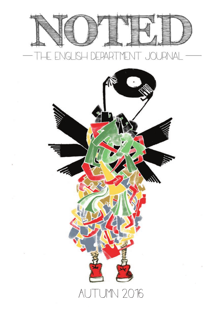

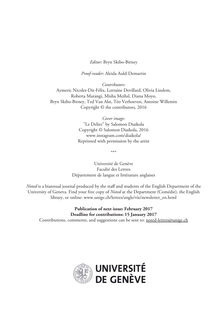*Editor*: Bryn Skibo-Birney

*Proof-reader*: Aleida Auld-Demartin

*Contributors:* Aymeric Nicolet-Dit-Félix, Lorraine Devillard, Olivia Lindem, Roberta Marangi, Misha Meihsl, Diana Moyo, Bryn Skibo-Birney, Ted Van Alst, Téo Verhoeven, Antoine Willemin Copyright © the contributors, 2016

> *Cover image:* "Le Delire" by Salomon Diaikola Copyright © Salomon Diaikola, 2016 www.instagram.com/diaikola/ Reprinted with permission by the artist

> > \*\*\*

Université de Genève Faculté des Lettres Département de langue et littérature anglaises

*Noted* is a biannual journal produced by the staff and students of the English Department of the University of Geneva. Find your free copy of *Noted* at the Department (Comédie), the English library, or online: www.unige.ch/lettres/angle/vie/newsletter\_en.html

> **Publication of next issue: February 2017 Deadline for contributions: 15 January 2017**

Contributions, comments, and suggestions can be sent to: noted-lettres@unige.ch

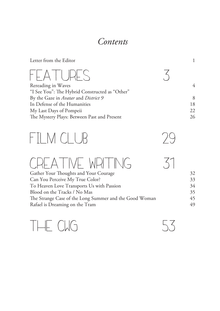## *Contents*

| Letter from the Editor                             |    |
|----------------------------------------------------|----|
| FLAILIALS                                          |    |
| Rereading in Waves                                 | 4  |
| "I See You": The Hybrid Constructed as "Other"     |    |
| By the Gaze in <i>Avatar</i> and <i>District</i> 9 | 8  |
| In Defense of the Humanities                       | 18 |
| My Last Days of Pompeii                            | 22 |
| The Mystery Plays: Between Past and Present        | 26 |
| FIIMCILIR                                          |    |
|                                                    |    |

Creative Writing 31

| Gather Your Thoughts and Your Courage                  | 32 |
|--------------------------------------------------------|----|
| Can You Perceive My True Color?                        | 33 |
| To Heaven Love Transports Us with Passion              | 34 |
| Blood on the Tracks / No Mas                           | 35 |
| The Strange Case of the Long Summer and the Good Woman | 45 |
| Rafael is Dreaming on the Tram                         | 49 |
|                                                        |    |

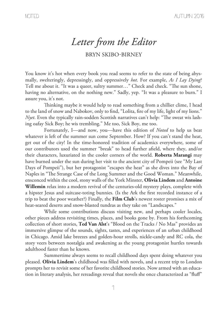# *Letter from the Editor*

BRYN SKIBO-BIRNEY

You know it's hot when every book you read seems to refer to the state of being abysmally, swelteringly, depressingly, and oppressively *hot*. For example, *As I Lay Dying*? Tell me about it. "It was a queer, sultry summer…" Check and check. "The sun shone, having no alternative, on the nothing new." Sadly, yep. "It was a pleasure to burn." I assure you, it's not.

Thinking maybe it would help to read something from a chillier clime, I head to the land of snow and Nabokov, only to find, "Lolita, fire of my life, light of my lions." *Nyet*. Even the typically rain-sodden Scottish narratives can't help: "The sweat wis lashing oafay Sick Boy; he wis trembling." Me too, Sick Boy, me too.

Fortunately, I––and now, you––have this edition of *Noted* to help us beat whatever is left of the summer sun come September. How? If you can't stand the heat, get out of the city! In the time-honored tradition of academics everywhere, some of our contributors used the summer "break" to head further afield, where they, and/or their characters, luxuriated in the cooler corners of the world. **Roberta Marangi** may have burned under the sun during her visit to the ancient city of Pompeii (see "My Last Days of Pompeii"), but her protagonist "escapes the heat" as she dives into the Bay of Naples in "The Strange Case of the Long Summer and the Good Woman." Meanwhile, ensconced within the cool, stony walls of the York Minster, **Olivia Lindem** and **Antoine Willemin** relax into a modern revival of the centuries-old mystery plays, complete with a hipster Jesus and suitcase-toting bunnies. (Is the Ark the first recorded instance of a trip to beat the poor weather?) Finally, the **Film Club**'s newest roster promises a mix of heat-seared deserts and snow-blasted tundras as they take on "Landscapes."

While some contributions discuss visiting new, and perhaps cooler locales, other pieces address revisiting times, places, and books gone by. From his forthcoming collection of short stories, **Ted Van Alst**'s "Blood on the Tracks / No Mas" provides an immersive glimpse of the sounds, sights, tastes, and experiences of an urban childhood in Chicago. Amid lake breezes and golden-hour strolls, nickle-candy and RC cola, the story veers between nostalgia and awakening as the young protagonist hurtles towards adulthood faster than he knows.

Summertime always seems to recall childhood days spent doing whatever you pleased. **Olivia Lindem**'s childhood was filled with novels, and a recent trip to London prompts her to revisit some of her favorite childhood stories. Now armed with an education in literary analysis, her rereadings reveal that novels she once characterized as "fluff"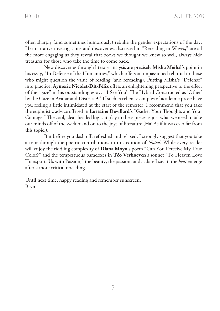often sharply (and sometimes humorously) rebuke the gender expectations of the day. Her narrative investigations and discoveries, discussed in "Rereading in Waves," are all the more engaging as they reveal that books we thought we knew so well, always hide treasures for those who take the time to come back.

New discoveries through literary analysis are precisely **Misha Meihsl**'s point in his essay, "In Defense of the Humanities," which offers an impassioned rebuttal to those who might question the value of reading (and rereading). Putting Misha's "Defense" into practice, **Aymeric Nicolet-Dit-Félix** offers an enlightening perspective to the effect of the "gaze" in his outstanding essay, "'I See You': The Hybrid Constructed as 'Other' by the Gaze in Avatar and District 9." If such excellent examples of academic prose have you feeling a little intimidated at the start of the semester, I recommend that you take the euphuistic advice offered in **Lorraine Devillard**'s "Gather Your Thoughts and Your Courage." The cool, clear-headed logic at play in these pieces is just what we need to take our minds off of the swelter and on to the joys of literature (Ha! As if it was ever far from this topic.).

But before you dash off, refreshed and relaxed, I strongly suggest that you take a tour through the poetric contributions in this edition of *Noted*. While every reader will enjoy the riddling complexity of **Diana Moyo**'s poem "Can You Perceive My True Color?" and the tempestuous paradoxes in **Téo Verhoeven**'s sonnet "To Heaven Love Transports Us with Passion," the beauty, the passion, and…dare I say it, the *heat* emerge after a more critical rereading.

Until next time, happy reading and remember sunscreen, Bryn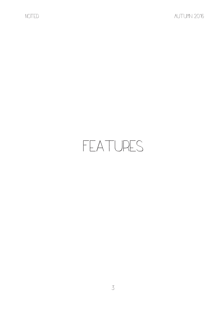

# Features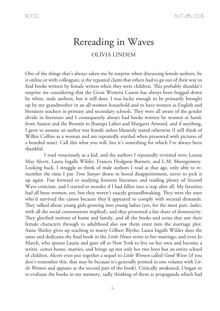## Rereading in Waves OLIVIA LINDEM

One of the things that's always taken me by surprise when discussing female authors, be it online or with colleagues, is the repeated claim that others had to go out of their way to find books written by female writers when they were children. This probably shouldn't surprise me considering that the Great Western Canon has always been bogged down by white, male authors, but it still does. I was lucky enough to be primarily brought up by my grandmother in an all-women household and to have women as English and literature teachers in primary and secondary schools. They were all aware of the gender divide in literature and I consequently always had books written by women at hand, from Austen and the Brontës to Jhumpa Lahiri and Margaret Atwood, and if anything, I grew to assume an author was female unless blatantly stated otherwise (I still think of Wilkie Collins as a woman and am repeatedly startled when presented with pictures of a bearded man). Call this what you will, but it's something for which I've always been thankful.

I read voraciously as a kid, and the authors I repeatedly revisited were Louisa May Alcott, Laura Ingalls Wilder, Frances Hodgson Burnett, and L.M. Montgomery. Looking back, I struggle to think of male authors I read at that age, only able to remember the time I put *Tom Sawyer* down in bored disappointment, never to pick it up again. Fast forward to studying feminist literature and reading plenty of Second Wave criticism, and I started to wonder if I had fallen into a trap after all. My favorites had all been women, yes, but they weren't exactly groundbreaking. They were the ones who'd survived the canon because they'd appeared to comply with societal demands. They talked about young girls growing into young ladies (yes, for the most part, *ladies*, with all the social connotations implied), and they presented a fair share of domesticity. They glorified notions of home and family, and all the books and series that saw their female characters through to adulthood also saw them enter into the marriage plot. Anne Shirley gives up teaching to marry Gilbert Blythe; Laura Ingalls Wilder does the same and dedicates the final book in the *Little House* series to her marriage; and even Jo March, who spurns Laurie and goes off to New York to live on her own and become a writer, comes home, marries, and brings up not only her two boys but an entire school of children. Alcott even put together a sequel to *Little Women* called *Good Wives* (if you don't remember this, that may be because it's generally printed in one volume with *Little Women* and appears as the second part of the book). Critically awakened, I began to re-evaluate the books in my memory, sadly thinking of them as propaganda which had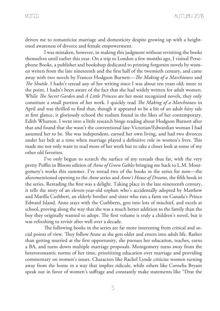driven me to romanticize marriage and domesticity despite growing up with a heightened awareness of divorce and female empowerment.

I was mistaken, however, in making this judgment without revisiting the books themselves until earlier this year. On a trip to London a few months ago, I visited Persephone Books, a publisher and bookshop dedicated to printing forgotten novels by women writers from the late nineteenth and the first half of the twentieth century, and came away with two novels by Frances Hodgson Burnett––*The Making of a Marchioness* and *The Shuttle*. I hadn't reread any of her writing since I was about ten years old; more to the point, I hadn't been aware of the fact that she had widely written for adult women. While *The Secret Garden* and *A Little Princess* are her most recognized novels, they only constitute a small portion of her work. I quickly read *The Making of a Marchioness* in April and was thrilled to find that, though it appeared to be a bit of an adult fairy tale at first glance, it gloriously echoed the realism found in the likes of her contemporary, Edith Wharton. I went into a little research binge reading about Hodgson Burnett after that and found that she wasn't the conventional late-Victorian/Edwardian woman I had assumed her to be. She was independent, earned her own living, and had two divorces under her belt at a time when marriage played a definitive role in women's lives. This made me not only want to read more of her work but to take a closer look at some of my other old favorites.

I've only begun to scratch the surface of my rereads thus far, with the very pretty Puffin in Bloom edition of *Anne of Green Gables* bringing me back to L.M. Montgomery's works this summer. I've reread two of the books in the series for now––the aforementioned opening to the *Anne* series and *Anne's House of Dreams*, the fifth book in the series. Rereading the first was a delight. Taking place in the late nineteenth century, it tells the story of an eleven-year-old orphan who's accidentally adopted by Matthew and Marilla Cuthbert, an elderly brother and sister who run a farm on Canada's Prince Edward Island. Anne stays with the Cuthberts, gets into lots of mischief, and excels at school, proving along the way that she was a much better addition to the family than the boy they originally wanted to adopt. The first volume is truly a children's novel, but it was refreshing to revisit after well over a decade.

The following books in the series are far more interesting from critical and social points of view. They follow Anne as she gets older and enters into adult life. Rather than getting married at the first opportunity, she pursues her education, teaches, earns a BA, and turns down multiple marriage proposals. Montgomery turns away from the heteroromantic norms of her time, prioritizing education over marriage and providing commentary on women's issues. Characters like Rachel Lynde criticize women turning away from the home in a way that implies ridicule, while others like Cornelia Bryant speak out in favor of women's suffrage and constantly make statements like "Drat the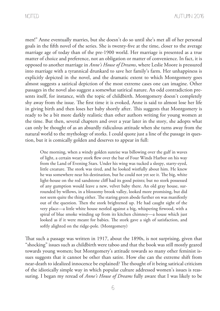### **NOTED**

men!" Anne eventually marries, but she doesn't do so until she's met all of her personal goals in the fifth novel of the series. She is twenty-five at the time, closer to the average marriage age of today than of the pre-1900 world. Her marriage is presented as a true matter of choice and preference, not an obligation or matter of convenience. In fact, it is opposed to another marriage in *Anne's House of Dreams*, where Leslie Moore is pressured into marriage with a tyrannical drunkard to save her family's farm. Her unhappiness is explicitly depicted in the novel, and the dramatic extent to which Montgomery goes almost suggests a satirical depiction of the most extreme cases one can imagine. Other passages in the novel also suggest a somewhat satirical nature. An odd contradiction presents itself, for instance, with the topic of childbirth. Montgomery doesn't completely shy away from the issue. The first time it is evoked, Anne is said to almost lose her life in giving birth and then loses her baby shortly after. This suggests that Montgomery is ready to be a bit more darkly realistic than other authors writing for young women at the time. But then, several chapters and over a year later in the story, she adopts what can only be thought of as an absurdly ridiculous attitude when she turns away from the natural world to the mythology of storks. I could quote just a line of the passage in question, but it is comically golden and deserves to appear in full:

One morning, when a windy golden sunrise was billowing over the gulf in waves of light, a certain weary stork flew over the bar of Four Winds Harbor on his way from the Land of Evening Stars. Under his wing was tucked a sleepy, starry-eyed, little creature. The stork was tired, and he looked wistfully about him. He knew he was somewhere near his destination, but he could not yet see it. The big, white light-house on the red sandstone cliff had its good points; but no stork possessed of any gumption would leave a new, velvet baby there. An old gray house, surrounded by willows, in a blossomy brook valley, looked more promising, but did not seem quite the thing either. The staring green abode further on was manifestly out of the question. Then the stork brightened up. He had caught sight of the very place—a little white house nestled against a big, whispering firwood, with a spiral of blue smoke winding up from its kitchen chimney—a house which just looked as if it were meant for babies. The stork gave a sigh of satisfaction, and softly alighted on the ridge-pole. (Montgomery)

That such a passage was written in 1917, about the 1890s, is not surprising, given that "shocking" issues such as childbirth were taboo and that the book was still mostly geared towards young women; but Montgomery's attitude towards so many other feminist issues suggests that it cannot be other than satire. How else can the extreme shift from near-death to idealized innocence be explained? The thought of it being satirical criticism of the idiotically simple way in which popular culture addressed women's issues is reassuring. I began my reread of *Anne's House of Dreams* fully aware that I was likely to be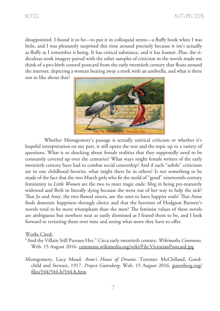disappointed. I found it to be––to put it in colloquial terms––a fluffy book when I was little, and I was pleasantly surprised this time around precisely because it isn't actually as fluffy as I remember it being. It has critical substance, and it has humor. Plus, the ridiculous stork imagery paired with the other samples of criticism in the novels made me think of a pro-birth control postcard from the early twentieth century that floats around the internet, depicting a woman beating away a stork with an umbrella, and what is there

not to like about that?



Whether Montgomery's passage is actually satirical criticism or whether it's hopeful interpretation on my part, it still opens the text and the topic up to a variety of questions. What is so shocking about female realities that they supposedly need to be constantly covered up over the centuries? What ways might female writers of the early twentieth century have had to combat social censorship? And if such "subtle" criticisms are in one childhood favorite, what might there be in others? Is not something to be made of the fact that the two March girls who fit the mold of "good" nineteenth-century femininity in *Little Women* are the two to meet tragic ends: Meg in being pre-maturely widowed and Beth in literally dying because she went out of her way to help the sick? That Jo and Amy, the two flawed sisters, are the ones to have happier ends? That Anne finds domestic happiness through choice and that the heroines of Hodgson Burnett's novels tend to be more triumphant than the men? The feminist values of these novels are ambiguous but nowhere near as easily dismissed as I feared them to be, and I look forward to revisiting them over time and seeing what more they have to offer.

## Works Cited:

"And the Villain Still Pursues Her." Circa early twentieth century. *Wikimedia Commons.* Web. 15 August 2016. commons.wikimedia.org/wiki/File:VictorianPostcard.jpg

Montgomery, Lucy Maud. *Anne's House of Dreams.* Toronto: McClelland, Goodchild and Stewart, 1917. *Project Gutenberg*. Web. 15 August 2016. gutenberg.org/ files/544/544-h/544-h.htm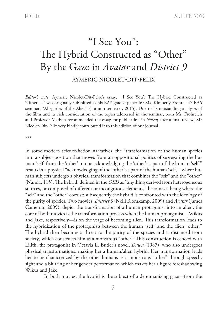# "I See You": The Hybrid Constructed as "Other" By the Gaze in *Avatar* and *District 9* AYMERIC NICOLET-DIT-FÉLIX

*Editor's note*: Aymeric Nicolet-Dit-Félix's essay, "'I See You': The Hybrid Constructed as 'Other'…" was originally submitted as his BA7 graded paper for Ms. Kimberly Frohreich's BA6 seminar, "Allegories of the Alien" (autumn semester, 2015). Due to its outstanding analyses of the films and its rich consideration of the topics addressed in the seminar, both Ms. Frohreich and Professor Madsen recommended the essay for publication in *Noted*; after a final review, Mr Nicolet-Dit-Félix very kindly contributed it to this edition of our journal.

\*\*\*

In some modern science-fiction narratives, the "transformation of the human species into a subject position that moves from an oppositional politics of segregating the human 'self' from the 'other' to one acknowledging the 'other' as part of the human 'self'" results in a physical "acknowledging of the 'other' as part of the human 'self,'" where human subjects undergo a physical transformation that combines the "self" and the "other" (Nanda, 115). The hybrid, defined in the *OED* as "anything derived from heterogeneous sources, or composed of different or incongruous elements," becomes a being where the "self" and the "other" coexist; subsequently the hybrid is confronted with the ideology of the purity of species. Two movies, *District 9* (Neill Blomkamp, 2009) and *Avatar* (James Cameron, 2009), depict the transformation of a human protagonist into an alien; the core of both movies is the transformation process when the human protagonist––Wikus and Jake, respectively––is on the verge of becoming alien. This transformation leads to the hybridization of the protagonists between the human "self" and the alien "other." The hybrid then becomes a threat to the purity of the species and is distanced from society, which constructs him as a monstrous "other." This construction is echoed with Lilith, the protagonist in Octavia E. Butler's novel, *Dawn* (1987), who also undergoes physical transformations, making her a human/alien hybrid. Her transformation leads her to be characterized by the other humans as a monstrous "other" through speech, sight and a blurring of her gender performance, which makes her a figure foreshadowing Wikus and Jake.

In both movies, the hybrid is the subject of a dehumanizing gaze—from the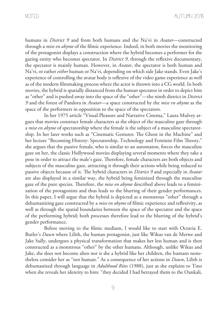### **NOTED**

humans in *District 9* and from both humans and the Na'vi in *Avatar*––constructed through a *mise en abyme* of the filmic experience. Indeed, in both movies the monitoring of the protagonist displays a construction where the hybrid becomes a performer for the gazing entity who becomes spectator. In *District 9*, through the reflexive documentary, the spectator is mainly human. However, in *Avatar*, the spectator is both human and Na'vi, or rather *either* human or Na'vi, depending on which side Jake stands. Even Jake's experience of controlling the avatar body is reflexive of the video game experience as well as of the modern filmmaking process where the actor is thrown into a CG world. In both movies, the hybrid is spatially distanced from the human spectator in order to depict him as "other" and is pushed away into the space of the "other"––the ninth district in *District 9* and the forest of Pandora in *Avatar*––a space constructed by the *mise en abyme* as the space of the performers in opposition to the space of the spectators.

In her 1975 article "Visual Pleasure and Narrative Cinema," Laura Mulvey argues that movies construct female characters as the object of the masculine gaze through a *mise en abyme* of spectatorship where the female is the subject of a masculine spectatorship. In her later works such as "Cinematic Gestures: The Ghost in the Machine" and her lecture "Becoming History: Spectatorship, Technology and Feminist Film Theory," she argues that the passive female, who is similar to an automaton, forces the masculine gaze on her, the classic Hollywood movies displaying several moments where they take a pose in order to attract the male's gaze. Therefore, female characters are both objects and subjects of the masculine gaze, attracting it through their actions while being reduced to passive objects because of it. The hybrid characters in *District 9* and especially in *Avatar* are also displayed in a similar way, the hybrid being feminized through the masculine gaze of the pure species. Therefore, the *mise en abyme* described above leads to a feminization of the protagonists and thus leads to the blurring of their gender performances. In this paper, I will argue that the hybrid is depicted as a monstrous "other" through a dehumanizing gaze constructed by a *mise en abyme* of filmic experience and reflexivity, as well as through the spatial boundaries between the space of the spectator and the space of the performing hybrid; both processes therefore lead to the blurring of the hybrid's gender performance.

Before moving to the filmic medium, I would like to start with Octavia E. Butler's *Dawn* where Lilith, the human protagonist, just like Wikus van de Merwe and Jake Sully, undergoes a physical transformation that makes her less human and is then constructed as a monstrous "other" by the other humans. Although, unlike Wikus and Jake, she does not become alien nor is she a hybrid like her children, the humans nonetheless consider her as "not human." As a consequence of her actions in *Dawn*, Lilith is dehumanized through language in *Adulthood Rites* (1988), just as she explains to Tino when she reveals her identity to him: "they decided I had betrayed them to the Oankali,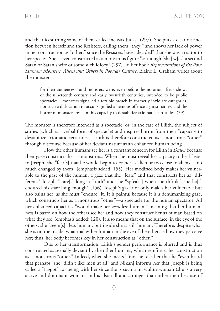and the nicest thing some of them called me was Judas" (297). She puts a clear distinction between herself and the Resisters, calling them "they," and shows her lack of power in her construction as "other," since the Resisters have "decided" that she was a traitor to her species. She is even constructed as a monstrous figure "as though [she] w[as] a second Satan or Satan's wife or some such idiocy" (297). In her book *Representations of the Post/ Human: Monsters, Aliens and Others in Popular Culture*, Elaine L. Graham writes about the monster:

for their audiences––and monsters were, even before the notorious freak shows of the nineteenth century and early twentieth centuries, intended to be public spectacles––monsters signalled a terrible breach in formerly inviolate categories. For such a dislocation to occur signified a heinous offence against nature, and the horror of monsters rests in this capacity to destabilize axiomatic certitudes. (39)

The monster is therefore intended as a spectacle, or, in the case of Lilith, the subject of stories (which is a verbal form of spectacle) and inspires horror from their "capacity to destabilize axiomatic certitudes." Lilith is therefore constructed as a monstrous "other" through discourse because of her deviant nature as an enhanced human being.

How the other humans see her is a constant concern for Lilith in *Dawn* because their gaze constructs her as monstrous. When she must reveal her capacity to heal faster to Joseph, she "fear[s] that he would begin to *see* her as alien or too close to aliens––too much changed by them" (emphasis added; 155). Her modified body makes her vulnerable to the gaze of the human, a gaze that she "fears" and that constructs her as "different." Joseph "stare[s] long at Lilith" and she "sp[eaks] when she th[inks] she ha[s] endured his stare long enough" (156). Joseph's gaze not only makes her vulnerable but also pains her, as she must "endure" it. It is painful because it is a dehumanizing gaze, which constructs her as a monstrous "other"––a spectacle for the human spectator. All her enhanced capacities "would make her *seem* less human," meaning that her humanness is based on how the others see her and how they construct her as human based on what they see (emphasis added; 120). It also means that on the surface, in the eye of the others, she "seem[s]" less human, but inside she is still human. Therefore, despite what she is on the inside, what makes her human in the eye of the others is how they perceive her; thus, her body becomes key in her construction as "other."

Due to her transformation, Lilith's gender performance is blurred and is thus constructed as sexually deviant by the other humans, which reinforces her construction as a monstrous "other." Indeed, when she meets Tino, he tells her that he "even heard that perhaps [she] didn't like men at all" and Nikanj informs her that Joseph is being called a "faggot" for being with her since she is such a masculine woman (she is a very active and dominant woman, and is also tall and stronger than other men because of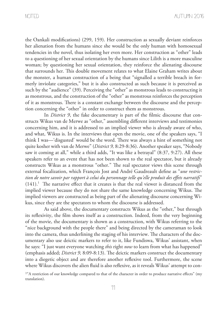### **NOTED**

the Oankali modifications) (299, 159). Her construction as sexually deviant reinforces her alienation from the humans since she would be the only human with homosexual tendencies in the novel, thus isolating her even more. Her construction as "other" leads to a questioning of her sexual orientation by the humans since Lilith is a more masculine woman; by questioning her sexual orientation, they reinforce the alienating discourse that surrounds her. This double movement relates to what Elaine Graham writes about the monster, a human construction of a being that "signalled a terrible breach in formerly inviolate categories," but it is also constructed as such because it is perceived as such by the "audience" (39). Perceiving the "other" as monstrous leads to constructing it as monstrous, and the construction of the "other" as monstrous reinforces the perception of it as monstrous. There is a constant exchange between the discourse and the perception concerning the "other" in order to construct them as monstrous.

In *District 9*, the fake documentary is part of the filmic discourse that constructs Wikus van de Merwe as "other," assembling different interviews and testimonies concerning him, and it is addressed to an implied viewer who is already aware of who, and what, Wikus is. In the interviews that open the movie, one of the speakers says, "I think I was––'disgusted' would be the word. There was always a hint of something not quite kosher with van de Merwe" (*District 9,* 8:29-8:36). Another speaker says, "Nobody saw it coming at all," while a third adds, "It was like a betrayal" (8:37, 9:27). All these speakers refer to an event that has not been shown to the real spectator, but it already constructs Wikus as a monstrous "other." The real spectator views this scene through external focalization, which François Jost and André Gaudreault define as "*une restriction de notre savoir par rapport à celui du personnage telle qu'elle produit des effets narratifs*"  $(141).$ <sup>1</sup> The narrative effect that it creates is that the real viewer is distanced from the implied viewer because they do not share the same knowledge concerning Wikus. The implied viewers are constructed as being part of the alienating discourse concerning Wikus, since they are the spectators to whom the discourse is addressed.

As said above, the documentary constructs Wikus as the "other," but through its reflexivity, the film shows itself as a construction. Indeed, from the very beginning of the movie, the documentary is shown as a construction, with Wikus referring to the "nice background with the people there" and being directed by the cameraman to look into the camera, thus underlining the staging of his interview. The characters of the documentary also use deictic markers to refer to it, like Fundiswa, Wikus' assistant, when he says: "I just want everyone watching *this* right *now* to learn from what has happened" (emphasis added; *District 9,* 8:09-8:13). The deictic markers construct the documentary into a diegetic object and are therefore another reflexive tool. Furthermore, the scene where Wikus discovers the alien fluid is also reflexive, as it reveals Wikus' attempt to con-

<sup>&</sup>lt;sup>1</sup>"A restriction of our knowledge compared to that of the character in order to produce narrative effects" (my translation).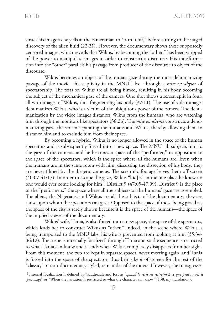struct his image as he yells at the cameraman to "turn it off," before cutting to the staged discovery of the alien fluid (22:21). However, the documentary shows these supposedly censored images, which reveals that Wikus, by becoming the "other," has been stripped of the power to manipulate images in order to construct a discourse. His transformation into the "other" parallels his passage from producer of the discourse to object of the discourse.

Wikus becomes an object of the human gaze during the most dehumanizing passage of the movie––his captivity in the MNU labs––through a *mise en abyme* of spectatorship. The tests on Wikus are all being filmed, resulting in his body becoming the subject of the mechanical gaze of the camera. One shot shows a screen split in four, all with images of Wikus, thus fragmenting his body (37:11). The use of video images dehumanizes Wikus, who is a victim of the ubiquitous power of the camera. The dehumanization by the video images distances Wikus from the humans, who are watching him through the monitors like spectators (38:26). The *mise en abyme* constructs a dehumanizing gaze, the screen separating the humans and Wikus, thereby allowing them to distance him and to exclude him from their space.

By becoming a hybrid, Wikus is no longer allowed in the space of the human spectators and is subsequently forced into a new space. The MNU lab subjects him to the gaze of the cameras and he becomes a space of the "performer," in opposition to the space of the spectators, which is the space where all the humans are. Even when the humans are in the same room with him, discussing the dissection of his body, they are never filmed by the diegetic cameras. The scientific footage leaves them off-screen (40:07-41:17). In order to escape the gaze, Wikus "hid[es] in the one place he knew no one would ever come looking for him": District 9 (47:05-47:09). District 9 is the place of the "performers," the space where all the subjects of the humans' gaze are assembled. The aliens, the Nigerians, and Wikus are all the subjects of the documentary; they are those upon whom the spectators can gaze. Opposed to the space of those being gazed at, the space of the city is rarely shown because it is the space of the humans––the space of the implied viewer of the documentary.

Wikus' wife, Tania, is also forced into a new space, the space of the spectators, which leads her to construct Wikus as "other." Indeed, in the scene where Wikus is being transported to the MNU labs, his wife is prevented from looking at him (35:34-  $36:12$ ). The scene is internally focalized<sup>2</sup> through Tania and so the sequence is restricted to what Tania can know and it ends when Wikus completely disappears from her sight. From this moment, the two are kept in separate spaces, never meeting again, and Tania is forced into the space of the spectator, thus being kept off-screen for the rest of the "classic," or non-documentary styled, remainder of the movie. However, she transgresses

<sup>2</sup> Internal focalization is defined by Gaudreault and Jost as "*quand le récit est restreint à ce que peut savoir le personage*" or "When the narration is restricted to what the character can know" (138; my translation).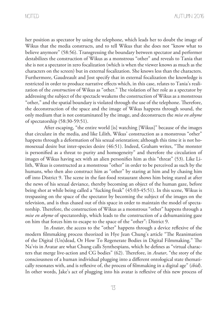### **NOTED**

her position as spectator by using the telephone, which leads her to doubt the image of Wikus that the media constructs, and to tell Wikus that she does not "know what to believe anymore" (58:56). Transgressing the boundary between spectator and performer destabilizes the construction of Wikus as a monstrous "other" and reveals to Tania that she is not a spectator in zero focalization (which is when the viewer knows as much as the characters on the screen) but in external focalization. She knows less than the characters. Furthermore, Gaudreault and Jost specify that in external focalization the knowledge is restricted in order to produce narrative effects which, in this case, relates to Tania's realization of the *construction* of Wikus as "other." The violation of her role as a spectator by addressing the subject of the spectacle weakens the construction of Wikus as a monstrous "other," and the spatial boundary is violated through the use of the telephone. Therefore, the deconstruction of the space and the image of Wikus happens through sound, the only medium that is not contaminated by the image, and deconstructs the *mise en abyme* of spectatorship (58:30-59:51).

After escaping, "the entire world [is] watching [Wikus]" because of the images that circulate in the media, and like Lilith, Wikus' construction as a monstrous "other" happens through a deformation of his sexual orientation; although this time it is not homosexual desire but inter-species desire (46:51). Indeed, Graham writes, "The monster is personified as a threat to purity and homogeneity" and therefore the circulation of images of Wikus having sex with an alien personifies him as this "threat" (53). Like Lilith, Wikus is constructed as a monstrous "other" in order to be perceived as such by the humans, who then also construct him as "other" by staring at him and by chasing him off into District 9. The scene in the fast-food restaurant shows him being stared at after the news of his sexual deviance, thereby becoming an object of the human gaze, before being shot at while being called a "fucking freak" (45:03-45:51). In this scene, Wikus is trespassing on the space of the spectator by becoming the subject of the images on the television, and is thus chased out of this space in order to maintain the model of spectatorship. Therefore, the construction of Wikus as a monstrous "other" happens through a *mise en abyme* of spectatorship, which leads to the construction of a dehumanizing gaze on him that forces him to escape to the space of the "other": District 9.

In *Avatar*, the access to the "other" happens through a device reflexive of the modern filmmaking process theorized in Hye Jean Chung's article "The Reanimation of the Digital (Un)dead, Or How To Regenerate Bodies in Digital Filmmaking." The Na'vis in Avatar are what Chung calls Synthespians, which he defines as "virtual characters that merge live-action and CG bodies" (62). Therefore, in *Avatar*, "the story of the consciousness of a human individual plugging into a different ontological state thematically resonates with, and is reflexive of, the process of filmmaking in a digital age" (*ibid*). In other words, Jake's act of plugging into his avatar is reflexive of this new process of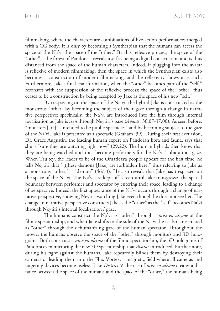filmmaking, where the characters are combinations of live-action performances merged with a CG body. It is only by becoming a Synthespian that the humans can access the space of the Na'vi the space of the "other." By this reflexive process, the space of the "other"––the forest of Pandora––reveals itself as being a digital construction and is thus distanced from the space of the human characters. Indeed, if plugging into the avatar is reflexive of modern filmmaking, then the space in which the Synthespian exists also becomes a construction of modern filmmaking, and the reflexivity shows it as such. Furthermore, Jake's final transformation, when the "other" becomes part of the "self," resonates with the suppression of the reflexive process; the space of the "other" thus ceases to be a construction by being accepted by Jake as the space of his new "self."

By trespassing on the space of the Na'vi, the hybrid Jake is constructed as the monstrous "other" by becoming the subject of their gaze through a change in narrative perspective: specifically, the Na'vi are introduced into the film through internal focalization as Jake is *seen* through Neytiri's gaze (*Avatar,* 36:07-37:00). As seen before, "monsters [are]…intended to be public spectacles" and by becoming subject to the gaze of the Na'vi, Jake is presented as a spectacle (Graham, 39). During their first excursion, Dr. Grace Augustin, the leading human expert on Pandoran flora and fauna, says that she is "sure they are watching right now" (29:22). The human hybrids then know that they are being watched and thus become performers for the Na'vis' ubiquitous gaze. When Tsu'tey, the leader to be of the Omaticaya people appears for the first time, he tells Neytiri that "[t]hese demons [Jake] are forbidden here," thus referring to Jake as a monstrous "other," a "demon" (46:53). He also reveals that Jake has trespassed on the space of the Na'vi. The Na'vi are kept off-screen until Jake transgresses the spatial boundary between performer and spectator by entering their space, leading to a change of perspective. Indeed, the first appearance of the Na'vi occurs through a change of narrative perspective, showing Neytiri watching Jake even though he does not see her. The change in narrative perspective constructs Jake as the "other" as the "self" becomes Na'vi through Neytiri's internal focalization / gaze.

The humans construct the Na'vi as "other" through a *mise en abyme* of the filmic spectatorship, and when Jake shifts to the side of the Na'vi, he is also constructed as "other" through the dehumanizing gaze of the human spectator. Throughout the movie, the humans observe the space of the "other" through monitors and 3D holograms. Both construct a *mise en abyme* of the filmic spectatorship, the 3D holograms of Pandora even mirroring the new 3D spectatorship that *Avatar* introduced. Furthermore, during his fight against the humans, Jake repeatedly blinds them by destroying their cameras or leading them into the Flux Vortex, a magnetic field where all cameras and targeting devices become useless. Like *District 9*, the use of *mise en abyme* creates a distance between the space of the humans and the space of the "other," the humans being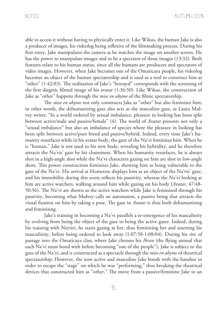### **NOTED**

able to access it without having to physically enter it. Like Wikus, the human Jake is also a producer of images, his videolog being reflexive of the filmmaking process. During his first entry, Jake manipulates the camera as he watches the image on another screen. He has the power to manipulate images and to be a spectator of those images (13:32). Both features relate to his human status, since all the humans are producers and spectators of video images. However, when Jake becomes one of the Omaticaya people, his videolog becomes an object of the human spectatorship and is used as a tool to construct him as "other" (1:42:03). The realization of Jake's "betrayal" corresponds with the screening of the first diegetic filmed image of his avatar (1:36:50). Like Wikus, the construction of Jake as "other" happens through the *mise en abyme* of the filmic spectatorship.

The *mise en abyme* not only constructs Jake as "other" but also feminizes him; in other words, the dehumanizing gaze also acts as the masculine gaze, as Laura Mulvey writes: "In a world ordered by sexual imbalance, pleasure in looking has been split between active/male and passive/female" (4). The world of *Avatar* presents not only a "sexual imbalance" but also an imbalance of species where the pleasure in looking has been split between active/pure breed and passive/hybrid. Indeed, every time Jake's humanity resurfaces while in his avatar body, the gaze of the Na'vi feminizes him. When he is "human," Jake is not used to his new body, revealing his hybridity, and he therefore attracts the Na'vis' gaze by his clumsiness. When his humanity resurfaces, he is always shot in a high-angle shot while the Na'vi characters gazing on him are shot in low-angle shots. This power construction feminizes Jake, showing him as being vulnerable to the gaze of the Na'vi. His arrival at Hometree displays him as an object of the Na'vis' gaze, and his immobility during this scene reflects his passivity, whereas the Na'vi looking at him are active watchers, walking around him while gazing on his body (*Avatar,* 47:48- 50:56). The Na'vi are shown as the active watchers while Jake is feminized through his passivity, becoming what Mulvey calls an automaton, a passive being that attracts the visual fixation on him by taking a pose. The gaze in *Avatar* is thus both dehumanizing and feminizing.

Jake's training in becoming a Na'vi parallels a re-emergence of his masculinity by evolving from being the object of the gaze to being the active gazer. Indeed, during his training with Neytiri, he starts gazing at her, thus feminizing her and asserting his masculinity, before being ordered to look away (1:07:58-1:08:04). During his rite of passage into the Omaticaya clan, where Jake chooses his *Ikran* (the flying animal that each Na'vi must bond with before becoming "one of the people"), Jake is subject to the gaze of the Na'vi, and is constructed as a spectacle through the *mise en abyme* of theatrical spectatorship. However, the now active and masculine Jake bonds with the banshee in order to escape the "stage" on which he was "performing," thus breaking the theatrical devices that constructed him as "other." The move from a passive/feminine Jake to an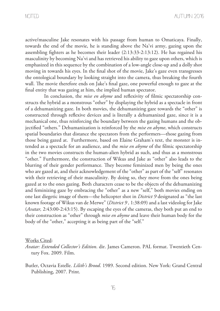active/masculine Jake resonates with his passage from human to Omaticaya. Finally, towards the end of the movie, he is standing above the Na'vi army, gazing upon the assembling fighters as he becomes their leader (2:13:33-2:13:12). He has regained his masculinity by becoming Na'vi and has retrieved his ability to gaze upon others, which is emphasized in this sequence by the combination of a low-angle close-up and a dolly shot moving in towards his eyes. In the final shot of the movie, Jake's gaze even transgresses the ontological boundary by looking straight into the camera, thus breaking the fourth wall. The movie therefore ends on Jake's final gaze, one powerful enough to gaze at the final entity that was gazing at him, the implied human spectator.

In conclusion, the *mise en abyme* and reflexivity of filmic spectatorship constructs the hybrid as a monstrous "other" by displaying the hybrid as a spectacle in front of a dehumanizing gaze. In both movies, the dehumanizing gaze towards the "other" is constructed through reflexive devices and is literally a dehumanized gaze, since it is a mechanical one, thus reinforcing the boundary between the gazing humans and the objectified "others." Dehumanization is reinforced by the *mise en abyme*, which constructs spatial boundaries that distance the spectators from the performers––those gazing from those being gazed at. Furthermore, based on Elaine Graham's text, the monster is intended as a spectacle for an audience, and the *mise en abyme* of the filmic spectatorship in the two movies constructs the human-alien hybrid as such, and thus as a monstrous "other." Furthermore, the construction of Wikus and Jake as "other" also leads to the blurring of their gender performance. They become feminized men by being the ones who are gazed at, and their acknowledgement of the "other" as part of the "self" resonates with their retrieving of their masculinity. By doing so, they move from the ones being gazed at to the ones gazing. Both characters cease to be the objects of the dehumanizing and feminizing gaze by embracing the "other" as a new "self," both movies ending on one last diegetic image of them––the helicopter shot in *District 9* designated as "the last known footage of Wikus van de Merwe" (*District 9 ,* 1:38:09) and a last videolog for Jake (*Avatar,* 2:43:00-2:43:15). By escaping the eyes of the cameras, they both put an end to their construction as "other" through *mise en abyme* and leave their human body for the body of the "other," accepting it as being part of the "self."

#### Works Cited:

- *Avatar: Extended Collector's Edition*. dir. James Cameron. PAL format. Twentieth Century Fox. 2009. Film.
- Butler, Octavia Estelle. *Lilith's Brood*. 1989. Second edition. New York: Grand Central Publishing, 2007. Print.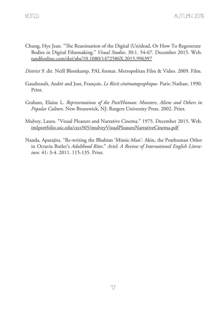- Chung, Hye Jean. "The Reanimation of the Digital (Un)dead, Or How To Regenerate Bodies in Digital Filmmaking." *Visual Studies*. 30:1. 54-67. December 2015. Web. tandfonline.com/doi/abs/10.1080/1472586X.2015.996397
- *District 9*. dir. Neill Blomkamp. PAL format. Metropolitan Film & Video. 2009. Film.
- Gaudreault, André and Jost, François. *Le Récit cinématographique*. Paris: Nathan. 1990. Print.
- Graham, Elaine L. *Representations of the Post/Human: Monsters, Aliens and Others in Popular Culture*. New Brunswick, NJ: Rutgers University Press. 2002. Print.
- Mulvey, Laura. "Visual Pleasure and Narrative Cinema." 1975. December 2015. Web. imlportfolio.usc.edu/ctcs505/mulveyVisualPleasureNarrativeCinema.pdf
- Nanda, Aparajita. "Re-writing the Bhabian 'Mimic-Man': Akin, the Posthuman Other in Octavia Butler's *Adulthood Rites*." *Ariel: A Review of International English Literature*. 41: 3-4. 2011. 115-135. Print.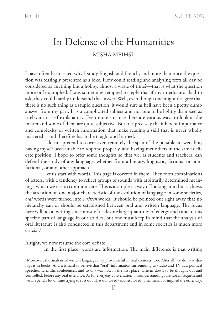# In Defense of the Humanities

MISHA MEIHSL

I have often been asked why I study English and French, and more than once the question was teasingly presented as a joke. How could reading and analyzing texts all day be considered as anything but a hobby, almost a waste of time?––that is what the question more or less implied. I was sometimes tempted to reply that if my interlocutor had to ask, they could hardly understand the answer. Well, even though one might disagree that there is no such thing as a stupid question, it would sure as hell have been a pretty dumb answer from my part. It is a complicated subject and not one to be lightly dismissed as irrelevant or self-explanatory. Even more so since there are various ways to look at the matter and some of them are quite subjective. But it is precisely the inherent importance and complexity of written information that make reading a skill that is never wholly mastered––and therefore has to be taught and learned.

I do not pretend to cover even remotely the span of the possible answers but, having myself been unable to respond properly, and having met others in the same delicate position, I hope to offer some thoughts so that we, as students and teachers, can defend the study of any language, whether from a literary, linguistic, fictional or nonfictional, or any other approach.

Let us start with words. This page is covered in them. They form combinations of letters, with a tendency to reflect groups of sounds with arbitrarily determined meanings, which we use to communicate. This is a simplistic way of looking at it, but it draws the attention on one major characteristic of the evolution of language: in some societies, *oral* words were turned into *written* words. It should be pointed out right away that no hierarchy can or should be established between oral and written language. The focus here will be on writing since most of us devote large quantities of energy and time to this specific part of language in our studies, but one must keep in mind that the analysis of oral literature is also conducted in this department and in some societies is much more  $crucial<sup>1</sup>$ 

Alright, we now resume the core debate.

In the first place, words are information. The main difference is that writing

1Moreover, the analysis of written language may prove useful in oral contexts, too. After all, we do have dialogues in books. And it is hard to believe that "oral" information surrounding us (radio and TV ads, political speeches, scientific conferences, and so on) was not, in the first place, written down to be thought out and controlled, before any oral utterance. As for everyday conversation, misunderstandings are not infrequent and we all spend a lot of time trying to sort out what our loved (and less loved) ones meant or implied the other day.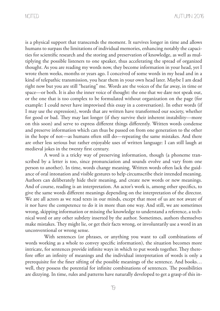### **NOTED**

is a physical support that transcends the moment. It survives longer in time and allows humans to surpass the limitations of individual memories, enhancing notably the capacities for scientific research and the storing and preservation of knowledge, as well as multiplying the possible listeners to one speaker, thus accelerating the spread of organized thought. As you are reading my words now, they become information in your head, yet I wrote them weeks, months or years ago. I conceived of some words in my head and in a kind of telepathic transmission, you hear them in your own head later. Maybe I am dead right now but you are still "hearing" me. Words are the voices of the far away, in time or space––or both. It is also the inner voice of thought: the one that we dare not speak out, or the one that is too complex to be formulated without organization on the page (for example: I could never have improvised this essay in a conversation). In other words (if I may use the expression), words that are written have transformed our society, whether for good or bad. They may last longer (if they survive their inherent instability––more on this soon) and serve to express different things differently. Written words condense and preserve information which can thus be passed on from one generation to the other in the hope of not––as humans often still do––repeating the same mistakes. And there are other less serious but rather enjoyable uses of written language: I can still laugh at medieval jokes in the twenty first century.

A word is a tricky way of preserving information, though (a phoneme transcribed by a letter is too, since pronunciation and sounds evolve and vary from one person to another). In time, words change meaning. Written words often lack the guidance of oral intonation and visible gestures to help circumscribe their intended meaning. Authors can deliberately hide their meaning, and create new words or new meanings. And of course, reading is an interpretation. An actor's work is, among other specifics, to give the same words different meanings depending on the interpretation of the director. We are all actors as we read texts in our minds, except that most of us are not aware of it nor have the competence to do it in more than one way. And still, we are sometimes wrong, skipping information or missing the knowledge to understand a reference, a technical word or any other subtlety inserted by the author. Sometimes, authors themselves make mistakes. They might lie, or get their facts wrong, or involuntarily use a word in an unconventional or wrong sense.

With sentences (or phrases, or anything you want to call combinations of words working as a whole to convey specific information), the situation becomes more intricate, for sentences provide infinite ways in which to put words together. They therefore offer an infinity of meanings and the individual interpretation of words is only a prerequisite for the finer sifting of the possible meanings of the sentence. And books… well, they possess the potential for infinite combinations of sentences. The possibilities are dizzying. In time, rules and patterns have naturally developed to get a grasp of this in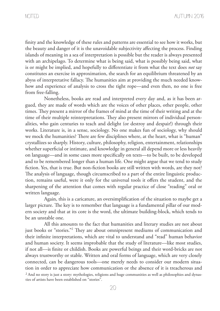finity and the knowledge of these rules and patterns are essential to see how it works, but the beauty and danger of it is the unavoidable subjectivity affecting the process. Finding islands of meaning in a sea of interpretation is possible but the reader is always presented with an archipelago. To determine what is being said, what is possibly being said, what is or might be implied, and hopefully to differentiate it from what the text does *not* say constitutes an exercise in approximation, the search for an equilibrium threatened by an abyss of interpretative fallacy. The humanities aim at providing the much needed knowhow and experience of analysis to cross the tight rope––and even then, no one is free from free-falling.

Nonetheless, books are read and interpreted every day and, as it has been argued, they are made of words which are the voices of other places, other people, other times. They present a mirror of the frames of mind at the time of their writing and at the time of their multiple reinterpretations. They also present mirrors of individual personalities, who gain centuries to teach and delight (or destroy and despair!) through their works. Literature is, in a sense, sociology. No one makes fun of sociology, why should we mock the humanities? There are few disciplines where, at the heart, what is "human" crystallizes so sharply. History, culture, philosophy, religion, entertainment, relationships whether superficial or intimate, and knowledge in general all depend more or less heavily on language––and in some cases more specifically on texts––to be built, to be developed and to be remembered longer than a human life. One might argue that we tend to study fiction. Yes, that is true. But non-fiction books are still written with words, are they not? The analysis of language, though circumscribed to a part of the entire linguistic production, remains useful, were it only for the universal tools it offers the student, and the sharpening of the attention that comes with regular practice of close "reading" oral or written language.

Again, this is a caricature, an oversimplification of the situation to maybe get a larger picture. The key is to remember that language is a fundamental pillar of our modern society and that at its core is the word, the ultimate building-block, which tends to be an unstable one.

All this amounts to the fact that humanities and literary studies are not about just books or "stories."<sup>2</sup> They are about omnipresent mediums of communication and their infinite interpretations, which are vital to understand and "read" human behavior and human society. It seems improbable that the study of literature––like most studies, if not all––is finite or childish. Books are powerful beings and their word-bricks are not always trustworthy or stable. Written and oral forms of language, which are very closely connected, can be dangerous tools––one merely needs to consider our modern situation in order to appreciate how communication or the absence of it is treacherous and 2 And no story is just a story: mythologies, religions and huge communities as well as philosophies and dynasties of artists have been established on "stories".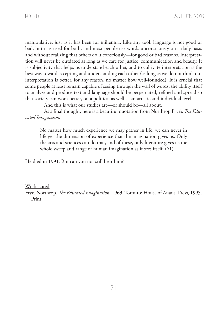manipulative, just as it has been for millennia. Like any tool, language is not good or bad, but it is used for both, and most people use words unconsciously on a daily basis and without realizing that others do it consciously––for good or bad reasons. Interpretation will never be outdated as long as we care for justice, communication and beauty. It is subjectivity that helps us understand each other, and to cultivate interpretation is the best way toward accepting and understanding each other (as long as we do not think our interpretation is better, for any reason, no matter how well-founded). It is crucial that some people at least remain capable of seeing through the wall of words; the ability itself to analyze and produce text and language should be perpetuated, refined and spread so that society can work better, on a political as well as an artistic and individual level.

And this is what our studies are––or should be––all about.

As a final thought, here is a beautiful quotation from Northrop Frye's *The Educated Imagination*:

No matter how much experience we may gather in life, we can never in life get the dimension of experience that the imagination gives us. Only the arts and sciences can do that, and of these, only literature gives us the whole sweep and range of human imagination as it sees itself. (61)

He died in 1991. But can you not still hear him?

Works cited:

Frye, Northrop. *The Educated Imagination*. 1963. Toronto: House of Anansi Press, 1993. Print.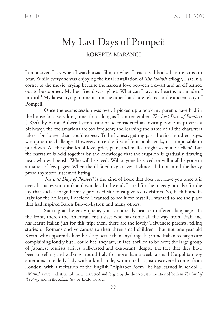# My Last Days of Pompeii

ROBERTA MARANGI

I am a cryer. I cry when I watch a sad film, or when I read a sad book. It is my cross to bear. While everyone was enjoying the final installation of *The Hobbit* trilogy, I sat in a corner of the movie, crying because the nascent love between a dwarf and an elf turned out to be doomed. My best friend was aghast. What can I say, my heart is not made of mithril. $^1$  My latest crying moments, on the other hand, are related to the ancient city of Pompeii.

Once the exams session was over, I picked up a book my parents have had in the house for a very long time, for as long as I can remember. *The Last Days of Pompeii* (1834), by Baron Bulwer-Lytton, cannot be considered an inviting book: its prose is a bit heavy; the exclamations are too frequent; and learning the name of all the characters takes a bit longer than you'd expect. To be honest, getting past the first hundred pages was quite the challenge. However, once the first of four books ends, it is impossible to put down. All the episodes of love, grief, pain, and malice might seem a bit cliché, but the narrative is held together by the knowledge that the eruption is gradually drawing near: who will perish? Who will be saved? Will anyone be saved, or will it all be gone in a matter of few pages? When the ill-fated day arrives, I almost did not mind the heavy prose anymore; it seemed fitting.

*The Last Days of Pompeii* is the kind of book that does not leave you once it is over. It makes you think and wonder. In the end, I cried for the tragedy but also for the joy that such a magnificently preserved site must give to its visitors. So, back home in Italy for the holidays, I decided I wanted to see it for myself; I wanted to see the place that had inspired Baron Bulwer-Lytton and many others.

Starting at the entry queue, you can already hear ten different languages. In the front, there's the American enthusiast who has come all the way from Utah and has learnt Italian just for this trip; then, there are the lovely Taiwanese parents, telling stories of Romans and volcanoes to their three small children––but not one-year-old Kevin, who apparently likes his sleep better than anything else; some Italian teenagers are complaining loudly but I could bet they are, in fact, thrilled to be here; the large group of Japanese tourists arrives well-rested and exuberant, despite the fact that they have been travelling and walking around Italy for more than a week; a small Neapolitan boy entertains an elderly lady with a kind smile, whom he has just discovered comes from London, with a recitation of the English "Alphabet Poem" he has learned in school. I 1 *Mithril*: a rare, indestructible metal extracted and forged by the dwarves; it is mentioned both in *The Lord of the Rings* and in the *Silmarillon* by J.R.R. Tolkien.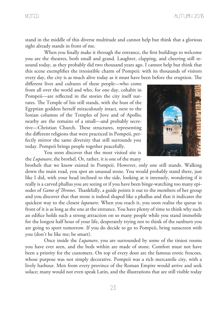stand in the middle of this diverse multitude and cannot help but think that a glorious sight already stands in front of me.

When you finally make it through the entrance, the first buildings to welcome you are the theatres, both small and grand. Laughter, clapping, and cheering still resound today, as they probably did two thousand years ago. I cannot help but think that this scene exemplifies the irresistible charm of Pompeii: with its thousands of visitors every day, the city is as much alive today as it must have been before the eruption. The

different lives and cultures of these people––who come from all over the world and who, for one day, cohabit in Pompeii––are reflected in the stories the city itself narrates. The Temple of Isis still stands, with the bust of the Egyptian goddess herself miraculously intact, next to the Ionian columns of the Temples of Jove and of Apollo; nearby are the remains of a small––and probably secretive––Christian Church. These structures, representing the different religions that were practiced in Pompeii, perfectly mirror the same diversity that still surrounds you today. Pompeii brings people together peacefully.



You soon discover that the most visited site is the *Lupanare*, the brothel. Or, rather, it is one of the many

brothels that we know existed in Pompeii. However, only one still stands. Walking down the main road, you spot an unusual stone. You would probably stand there, just like I did, with your head inclined to the side, looking at it intensely, wondering if it really is a carved phallus you are seeing or if you have been binge-watching too many episodes of *Game of Thrones*. Thankfully, a guide points it out to the members of her group and you discover that that stone is indeed shaped like a phallus and that it indicates the quickest way to the closest *lupanare*. When you reach it, you soon realise the queue in front of it is as long as the one at the entrance. You have plenty of time to think why such an edifice holds such a strong attraction on so many people while you stand immobile for the longest half hour of your life, desperately trying not to think of the sunburn you are going to sport tomorrow. If you do decide to go to Pompeii, bring sunscreen with you (don't be like me; be smart).

Once inside the *Lupanare*, you are surrounded by some of the tiniest rooms you have ever seen, and the beds within are made of stone. Comfort must not have been a priority for the customers. On top of every door are the famous erotic frescoes, whose purpose was not simply decorative. Pompeii was a rich mercantile city, with a lively harbour. Men from every province of the Roman Empire would arrive and seek solace; many would not even speak Latin, and the illustrations that are still visible today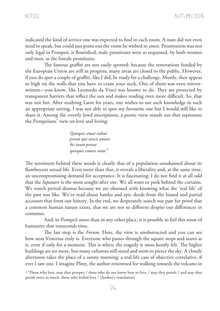indicated the kind of service one was expected to find in each room. A man did not even need to speak, but could just point out the room he wished to enter. Prostitution was not only legal in Pompeii, it flourished; male prostitutes were as requested, by both women and men, as the female prostitutes.

The famous graffiti are not easily spotted: because the restorations funded by the European Union are still in progress, many areas are closed to the public. However, if you do spot a couple of graffiti, like I did, be ready for a challenge. Mostly, they appear so high on the walls that you have to crane your neck. One of them was even mirrorwritten––you know, like Leonardo da Vinci was known to do. They are protected by transparent barriers that reflect the sun and makes reading even more difficult. So, that was not fun. After studying Latin for years, one wishes to use such knowledge in such an appropriate setting. I was not able to spot my favourite one but I would still like to share it. Among the overtly lewd inscriptions, a poetic verse stands out that represents the Pompeiians' view on love and loving:

> *Quisquis amat valeat pereat qui nescit amare bis tanto pereat quisquis amare vetat* <sup>2</sup>

The sentiment behind these words is clearly that of a population unashamed about its flamboyant sexual life. Even more than that, it reveals a liberality and, at the same time, an uncompromising demand for acceptance. It is fascinating; I do not find it at all odd that the *lupanare* is the most sought-after site. We all want to peek behind the curtains. We watch period dramas because we are obsessed with knowing what the 'real life' of the past was like. We've read about battles and epic deeds from the biased and partial accounts that form our history. In the end, we desperately search our past for proof that a common human nature exists, that we are not so different despite our differences in costumes.

And, in Pompeii more than in any other place, it is possible to feel this sense of humanity that transcends time.

The last stop is the *Forum*. Here, the view is unobstructed and you can see how near Vesuvius truly is. Everyone who passes through the square stops and stares at it, even if only for a moment. This is where the tragedy is most keenly felt. The higher buildings are no more, but many columns still stand and seem to pierce the sky. A cloudy afternoon takes the place of a sunny morning: a real-life case of objective correlative, if ever I saw one. I imagine Pliny, the author renowned for walking towards the volcano in

<sup>&</sup>lt;sup>2</sup> "Those who love, may they prosper; / those who do not know how to love, / may they perish; / and may they perish twice as much, those who forbid love." (Author's translation)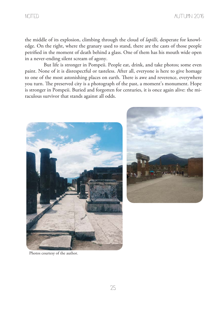## **NOTED**

## Autumn 2016

the middle of its explosion, climbing through the cloud of *lapilli*, desperate for knowledge. On the right, where the granary used to stand, there are the casts of those people petrified in the moment of death behind a glass. One of them has his mouth wide open in a never-ending silent scream of agony.

But life is stronger in Pompeii. People eat, drink, and take photos; some even paint. None of it is disrespectful or tasteless. After all, everyone is here to give homage to one of the most astonishing places on earth. There is awe and reverence, everywhere you turn. The preserved city is a photograph of the past, a moment's monument. Hope is stronger in Pompeii. Buried and forgotten for centuries, it is once again alive: the miraculous survivor that stands against all odds.





Photos courtesy of the author.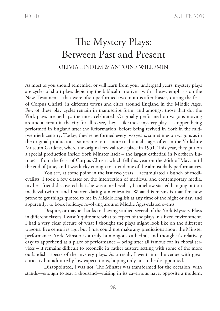# The Mystery Plays: Between Past and Present OLIVIA LINDEM & ANTOINE WILLEMIN

As most of you should remember or will learn from your undergrad years, mystery plays are cycles of short plays depicting the biblical narrative––with a heavy emphasis on the New Testament––that were often performed two months after Easter, during the feast of Corpus Christi, in different towns and cities around England in the Middle Ages. Few of these play cycles remain in manuscript form, and amongst those that do, the York plays are perhaps the most celebrated. Originally performed on wagons moving around a circuit in the city for all to see, they––like most mystery plays––stopped being performed in England after the Reformation, before being revived in York in the midtwentieth century. Today, they're performed every two years, sometimes on wagons as in the original productions, sometimes on a more traditional stage, often in the Yorkshire Museum Gardens, where the original revival took place in 1951. This year, they put on a special production inside York Minster itself – the largest cathedral in Northern Europe!––from the feast of Corpus Christi, which fell this year on the 26th of May, until the end of June, and I was lucky enough to attend one of the almost daily performances.

You see, at some point in the last two years, I accumulated a bunch of medievalists. I took a few classes on the intersection of medieval and contemporary media, my best friend discovered that she was a medievalist, I somehow started hanging out on medieval twitter, and I started dating a medievalist. What this means is that I'm now prone to get things quoted to me in Middle English at any time of the night or day, and apparently, to book holidays revolving around Middle Ages-related events.

Despite, or maybe thanks to, having studied several of the York Mystery Plays in different classes, I wasn't quite sure what to expect of the plays in a fixed environment. I had a very clear picture of what I thought the plays might look like on the different wagons, five centuries ago, but I just could not make any predictions about the Minster performance. York Minster is a truly humongous cathedral, and though it's relatively easy to apprehend as a place of performance – being after all famous for its choral services – it remains difficult to reconcile its rather austere setting with some of the more outlandish aspects of the mystery plays. As a result, I went into the venue with great curiosity but admittedly low expectations, hoping only not to be disappointed.

Disappointed, I was not. The Minster was transformed for the occasion, with stands––enough to seat a thousand––raising in its cavernous nave, opposite a modern,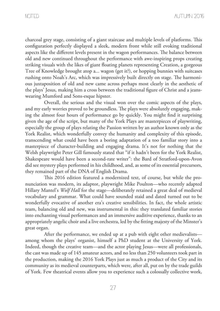### **NOTED**

charcoal grey stage, consisting of a giant staircase and multiple levels of platforms. This configuration perfectly displayed a sleek, modern front while still evoking traditional aspects like the different levels present in the wagon performances. The balance between old and new continued throughout the performance with awe-inspiring props creating striking visuals with the likes of giant floating planets representing Creation, a gorgeous Tree of Knowledge brought atop a... wagon (get it?), or hopping bunnies with suitcases rushing onto Noah's Arc, which was impressively built directly on stage. The harmonious juxtaposition of old and new came across perhaps most clearly in the aesthetic of the plays' Jesus, making him a cross between the traditional figure of Christ and a jeanswearing Mumford and Sons-esque hipster.

Overall, the serious and the visual won over the comic aspects of the plays, and my early worries proved to be groundless. The plays were absolutely engaging, making the almost four hours of performance go by quickly. You might find it surprising given the age of the script, but many of the York Plays are masterpieces of playwriting, especially the group of plays relating the Passion written by an author known only as the York Realist, which wonderfully convey the humanity and complexity of this episode, transcending what could have been a boring adaptation of a too familiar story into a masterpiece of character-building and engaging drama. It's not for nothing that the Welsh playwright Peter Gill famously stated that "if it hadn't been for the York Realist, Shakespeare would have been a second-rate writer": the Bard of Stratford-upon-Avon did see mystery plays performed in his childhood, and, as some of its essential precursors, they remained part of the DNA of English Drama.

This 2016 edition featured a modernized text, of course, but while the pronunciation was modern, its adaptor, playwright Mike Poulton––who recently adapted Hillary Mantel's *Wolf Hall* for the stage---deliberately retained a great deal of medieval vocabulary and grammar. What could have sounded staid and dated turned out to be wonderfully evocative of another era's creative sensibilities. In fact, the whole artistic team, balancing old and new, was instrumental in this: they translated familiar stories into enchanting visual performances and an immersive auditive experience, thanks to an appropriately angelic choir and a live orchestra, led by the fitting majesty of the Minster's great organ.

After the performance, we ended up at a pub with eight other medievalists among whom the plays' organist, himself a PhD student at the University of York. Indeed, though the creative team––and the actor playing Jesus––were all professionals, the cast was made up of 145 amateur actors, and no less than 250 volunteers took part in the production, making the 2016 York Plays just as much a product of the City and its community as its medieval counterparts, which were, after all, put on by the trade guilds of York. Few theatrical events allow you to experience such a colossally collective work,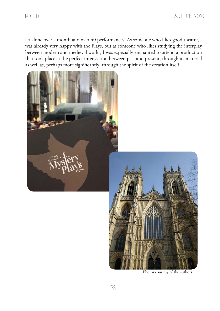let alone over a month and over 40 performances! As someone who likes good theatre, I was already very happy with the Plays, but as someone who likes studying the interplay between modern and medieval works, I was especially enchanted to attend a production that took place at the perfect intersection between past and present, through its material as well as, perhaps more significantly, through the spirit of the creation itself.



Photos courtesy of the authors.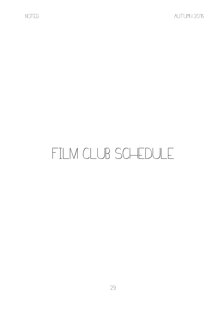

# FILM CLUB SCHEDULE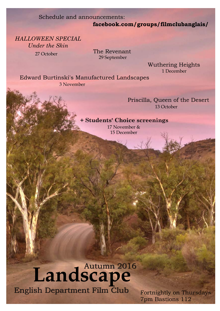## Schedule and announcements:

## **facebook.com/groups/filmclubanglais/**

27 October *HALLOWEEN SPECIAL Under the Skin*

29 September The Revenant

> 1 December Wuthering Heights

3 November Edward Burtinski's Manufactured Landscapes

> 13 October Priscilla, Queen of the Desert

**+ Students' Choice screenings**

17 November & 15 December

English Department Film Club Landscape

Fortnightly on Thursdays 7pm Bastions 112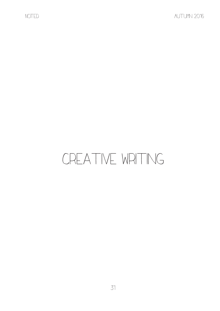

# CREATIVE WRITING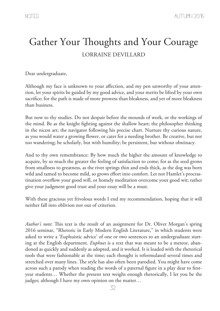# Gather Your Thoughts and Your Courage LORRAINE DEVILLARD

Dear undergraduate,

Although my face is unknown to your affection, and my pen unworthy of your attention, let your spirits be guided by my good advice, and your merits be lifted by your own sacrifice; for the path is made of more prowess than bleakness, and yet of more bleakness than business.

But now to thy studies. Do not despair before the mounds of work, or the workings of the mind. Be as the knight fighting against the shallow heart; the philosopher thinking in the nicest art; the navigator following his precise chart. Nurture thy curious nature, as you would water a growing flower, or cater for a needing brother. Be creative, but not too wandering; be scholarly, but with humility; be persistent, but without obstinacy.

And to thy own remembrance: By how much the higher the amount of knowledge to acquire, by so much the greater the feeling of satisfaction to come; for as the seed grows from smallness to greatness, as the river springs thin and ends thick, as the dog was born wild and tamed to become mild, so grows effort into comfort. Let not Hamlet's procrastination overflow your good will, or homely meditation overcome your good wit; rather give your judgment good trust and your essay will be a must.

With these gracious yet frivolous words I end my recommendation, hoping that it will neither fall into oblivion nor out of criterion.

*Author's note*: This text is the result of an assignment for Dr. Oliver Morgan's spring 2016 seminar, "Rhetoric in Early Modern English Literature," in which students were asked to write a 'Euphuistic advice' of one or two sentences to an undergraduate starting at the English department. *Euphues* is a text that was meant to be a meteor, abandoned as quickly and suddenly as adopted, and it worked. It is loaded with the rhetorical tools that were fashionable at the time; each thought is reformulated several times and stretched over many lines. The style has also often been parodied. You might have come across such a parody when reading the words of a paternal figure in a play dear to firstyear students… Whether the present text weighs enough rhetorically, I let you be the judges; although I have my own opinion on the matter…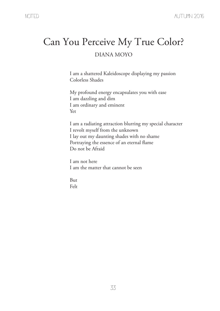# Can You Perceive My True Color? DIANA MOYO

I am a shattered Kaleidoscope displaying my passion Colorless Shades

My profound energy encapsulates you with ease I am dazzling and dim I am ordinary and eminent Yet

I am a radiating attraction blurring my special character I revolt myself from the unknown I lay out my daunting shades with no shame Portraying the essence of an eternal flame Do not be Afraid

I am not here I am the matter that cannot be seen

But Felt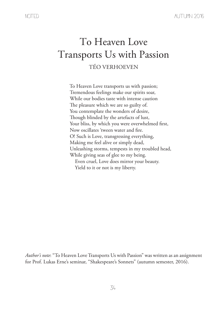# To Heaven Love Transports Us with Passion TÉO VERHOEVEN

To Heaven Love transports us with passion; Tremendous feelings make our spirits soar, While our bodies taste with intense caution The pleasure which we are so guilty of. You contemplate the wonders of desire, Though blinded by the artefacts of lust, Your bliss, by which you were overwhelmed first, Now oscillates 'tween water and fire. O! Such is Love, transgressing everything, Making me feel alive or simply dead, Unleashing storms, tempests in my troubled head, While giving seas of glee to my being. Even cruel, Love does mirror your beauty. Yield to it or not is my liberty.

*Author's note*: "To Heaven Love Transports Us with Passion" was written as an assignment for Prof. Lukas Erne's seminar, "Shakespeare's Sonnets" (autumn semester, 2016).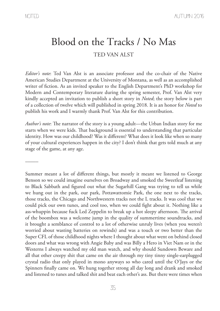–––––

## Blood on the Tracks / No Mas TED VAN ALST

*Editor's note*: Ted Van Alst is an associate professor and the co-chair of the Native American Studies Department at the University of Montana, as well as an accomplished writer of fiction. As an invited speaker to the English Department's PhD workshop for Modern and Contemporary literature during the spring semester, Prof. Van Alst very kindly accepted an invitation to publish a short story in *Noted*; the story below is part of a collection of twelve which will published in spring 2018. It is an honor for *Noted* to publish his work and I warmly thank Prof. Van Alst for this contribution.

*Author's note*: The narrator of the story is a young adult––the Urban Indian story for me starts when we were kids. That background is essential to understanding that particular identity. How was our childhood? Was it different? What does it look like when so many of your cultural experiences happen in the city? I don't think that gets told much at any stage of the game, at any age.

Summer meant a lot of different things, but mostly it meant we listened to George Benson so we could imagine ourselves on Broadway and smoked the Sweetleaf listening to Black Sabbath and figured out what the Sugarhill Gang was trying to tell us while we hung out in the park, our park, Pottawattomie Park, the one next to the tracks, those tracks, the Chicago and Northwestern tracks not the L tracks. It was cool that we could pick our own tunes, and cool too, when we could fight about it. Nothing like a ass-whuppin because fuck Led Zeppelin to break up a hot sleepy afternoon. The arrival of the boombox was a welcome jump in the quality of summertime soundtracks, and it brought a semblance of control to a lot of otherwise unruly lives (when you weren't worried about wasting batteries on rewinds) and was a touch or two better than the Super CFL of those childhood nights where I thought about what went on behind closed doors and what was wrong with Angie Baby and was Billy a Hero in Viet Nam or in the Westerns I always watched my old man watch, and why should Sundown Beware and all that other creepy shit that came on the air through my tiny tinny single-earplugged crystal radio that only played in mono anyways so who cared until the O'Jays or the Spinners finally came on. We hung together strong all day long and drank and smoked and listened to tunes and talked shit and beat each other's ass. But there were times when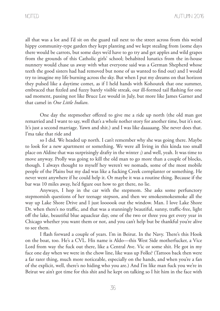all that was a lot and I'd sit on the guard rail next to the street across from this weird hippy community-type garden they kept planting and we kept stealing from (some days there would be carrots, but some days we'd have to go try and get apples and wild grapes from the grounds of this Catholic girls' school; behabited lunatics from the in-house nunnery would chase us away with what everyone said was a German Shepherd whose teeth the good sisters had had removed but none of us wanted to find out) and I would try to imagine my life burning across the sky. But when I put my dreams on that horizon they pulsed like a daytime comet, as if I held hands with Kohoutek that one summer, embraced that fizzled and fuzzy barely visible streak, our ill-formed tail flashing for one sad moment, passing not like Bruce Lee would in July, but more like James Garner and that camel in *One Little Indian*.

One day the stepmother offered to give me a ride up north (the old man got remarried and I want to say, well that's a whole nother story for another time, but it's not. It's just a second marriage. Yawn and shit.) and I was like daaaaang. She never does that. I'ma take that ride and

so I did. We headed up north. I can't remember why she was going there. Maybe to look for a new apartment or something. We were all living in this kinda too small place on Aldine that was surprisingly drafty in the winter ;) and well, yeah. It was time to move anyway. Prolly was going to kill the old man to go more than a couple of blocks, though. I always thought to myself hey weren't we nomads, some of the most mobile people of the Plains but my dad was like a fucking Creek cornplanter or something. He never went anywhere if he could help it. Or maybe it was a routine thing. Because if the bar was 10 miles away, he'd figure out how to get there, no lie.

Anyways, I hop in the car with the stepmom. She asks some perfunctory stepmomish questions of her teenage stepson, and then we smokesmokesmoke all the way up Lake Shore Drive and I just loooook out the window. Man. I love Lake Shore Dr. when there's no traffic, and that was a stunningly beautiful, sunny, traffic-free, light off the lake, beautiful blue aquaclear day, one of the two or three you get every year in Chicago whether you want them or not, and you can't help but be thankful you're alive to see them.

I flash forward a couple of years. I'm in Beirut. In the Navy. There's this Hook on the boat, too. He's a CVL. His name is Aldo––this West Side motherfucker, a Vice Lord from way the fuck out there, like a Central Ave. Vic or some shit. He got in my face one day when we were in the chow line, like wass up Folks? (Tattoos back then were a far rarer thing, much more noticeable, especially on the hands, and when you're a fan of the explicit, well, there's no hiding who you are.) And I'm like man fuck you we're in Beirut we ain't got time for this shit and he kept on talking so I hit him in the face with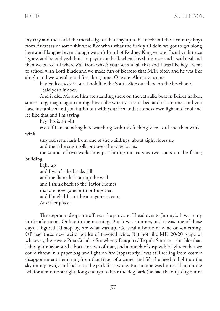my tray and then held the metal edge of that tray up to his neck and these country boys from Arkansas or some shit were like whoa what the fuck y'all doin we got to get along here and I laughed even though we ain't heard of Rodney King yet and I said yeah truce I guess and he said yeah but I'm payin you back when this shit is over and I said deal and then we talked all where y'all from what's your set and all that and I was like hey I went to school with Lord Black and we made fun of Borroso that M/H bitch and he was like alright and we was all good for a long time. One day Aldo says to me

hey Folks check it out. Look like the South Side out there on the beach and I said yeah it does.

And it did. Me and him are standing there on the catwalk, boat in Beirut harbor, sun setting, magic light coming down like when you're in bed and it's summer and you have just a sheet and you fluff it out with your feet and it comes down light and cool and it's like that and I'm saying

hey this is alright

even if I am standing here watching with this fucking Vice Lord and then wink

wink

tiny red stars flash from one of the buildings, about eight floors up

and then the crash rolls out over the water at us,

the sound of two explosions just hitting our ears as two spots on the facing building

light up and I watch the bricks fall and the flame lick out up the wall and I think back to the Taylor Homes that are now gone but not forgotten and I'm glad I can't hear anyone scream. At either place.

The stepmom drops me off near the park and I head over to Jimmy's. It was early in the afternoon. Or late in the morning. But it was summer, and it was one of those days. I figured I'd stop by, see what was up. Go steal a bottle of wine or something. OP had these new weird bottles of flavored wine. But not like MD 20/20 grape or whatever, these were Piña Colada / Strawberry Daiquiri / Tequila Sunrise––shit like that. I thought maybe steal a bottle or two of that, and a bunch of disposable lighters that we could throw in a paper bag and light on fire (apparently I was still reeling from cosmic disappointment stemming from that fraud of a comet and felt the need to light up the sky on my own), and kick it at the park for a while. But no one was home. I laid on the bell for a minute straight, long enough to hear the dog bark (he had the only dog out of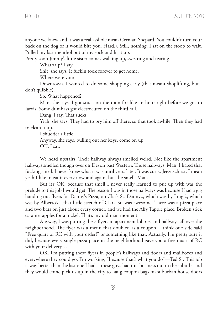## **NOTED**

anyone we knew and it was a real asshole mean German Shepard. You couldn't turn your back on the dog or it would bite you. Hard.). Still, nothing. I sat on the stoop to wait. Pulled my last menthol out of my sock and lit it up.

Pretty soon Jimmy's little sister comes walking up, swearing and tearing.

What's up? I say.

Shit, she says. It fuckin took forever to get home.

Where were you?

Downtown. I wanted to do some shopping early (that meant shoplifting, but I don't quibble).

So. What happened?

Man, she says. I got stuck on the train for like an hour right before we got to Jarvis. Some dumbass got electrocuted on the third rail.

Dang, I say. That sucks.

Yeah, she says. They had to pry him off there, so that took awhile. Then they had to clean it up.

I shudder a little.

Anyway, she says, pulling out her keys, come on up.

OK, I say.

We head upstairs. Their hallway always smelled weird. Not like the apartment hallways smelled though over on Devon past Western. Those hallways. Man. I hated that fucking smell. I never knew what it was until years later. It was curry. Jeezuschrist. I mean yeah I like to eat it every now and again, but the smell. Man.

But it's OK, because that smell I never really learned to put up with was the prelude to this job I would get. The reason I was in those hallways was because I had a gig handing out flyers for Danny's Pizza, on Clark St. Danny's, which was by Luigi's, which was by Alberto's…that little stretch of Clark St. was awesome. There was a pizza place and two bars on just about every corner, and we had the Affy Tapple place. Broken stick caramel apples for a nickel. That's my old man moment.

Anyway, I was putting these flyers in apartment lobbies and hallways all over the neighborhood. The flyer was a menu that doubled as a coupon. I think one side said "Free quart of RC with your order!" or something like that. Actually, I'm pretty sure it did, because every single pizza place in the neighborhood gave you a free quart of RC with your delivery…

OK. I'm putting these flyers in people's hallways and doors and mailboxes and everywhere they could go. I'm working, "because that's what you do"––Ted Sr. This job is way better than the last one I had—these guys had this business out in the suburbs and they would come pick us up in the city to hang coupon bags on suburban house doors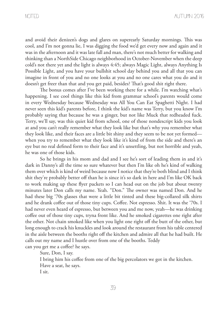and avoid their denizen's dogs and glares on superearly Saturday mornings. This was cool, and I'm not gonna lie, I was digging the food we'd get every now and again and it was in the afternoon and it was late fall and man, there's not much better for walking and thinking than a NorthSide Chicago neighborhood in October-November when the deep cold's not there yet and the light is always 4:45; always Magic Light, always Anything Is Possible Light, and you have your bullshit school day behind you and all that you can imagine in front of you and no one looks at you and no one cares what you do and it doesn't get freer than that and you get paid, besides? That's good shit right there.

The bonus comes after I've been working there for a while. I'm watching what's happening. I see cool things like this kid from grammar school's parents would come in every Wednesday because Wednesday was All You Can Eat Spaghetti Night. I had never seen this kid's parents before, I think the kid's name was Terry, but you know I'm probably saying that because he was a ginger, but not like Muck that redheaded fuck. Terry, we'll say, was this quiet kid from school, one of those nondescript kids you look at and you can't really remember what they look like but that's why you remember what they look like, and their faces are a little bit shiny and they seem to be not yet formed when you try to remember what they look like it's kind of from the side and there's an eye but no real defined form to their face and it's unsettling, but not horrible and yeah, he was one of those kids.

So he brings in his mom and dad and I see he's sort of leading them in and it's dark in Danny's all the time so sure whatever but then I'm like oh he's kind of walking them over which is kind of weird because now I notice that they're both blind and I think shit they're probably better off than he is since it's so dark in here and I'm like OK back to work making up these flyer packets so I can head out on the job but about twenty minutes later Don calls my name. Yeah. "Don." The owner was named Don. And he had these big '70s glasses that were a little bit tinted and these big-collared silk shirts and he drank coffee out of those tiny cups. Coffee. Not espresso. Shit. It was the '70s. I had never even heard of espresso, but between you and me now, yeah—he was drinking coffee out of those tiny cups, tryna front like. And he smoked cigarettes one right after the other. Not chain smoked like when you light one right off the butt of the other, but long enough to crack his knuckles and look around the restaurant from his table centered in the aisle between the booths right off the kitchen and admire all that he had built. He calls out my name and I hustle over from one of the booths. Teddy can you get me a coffee? he says.

Sure, Don, I say.

I bring him his coffee from one of the big percolators we got in the kitchen.

Have a seat, he says.

I sit.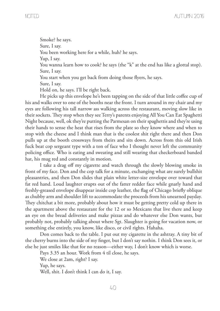Smoke? he says. Sure, I say. You been working here for a while, huh? he says. Yup, I say. You wanna learn how to cook? he says (the "k" at the end has like a glottal stop). Sure, I say. You start when you get back from doing those flyers, he says. Sure, I say.

Hold on, he says. I'll be right back.

He picks up this envelope he's been tapping on the side of that little coffee cup of his and walks over to one of the booths near the front. I turn around in my chair and my eyes are following his tall narrow ass walking across the restaurant, moving slow like in their sockets. They stop when they see Terry's parents enjoying All You Can Eat Spaghetti Night because, well, ok they're putting the Parmesan on their spaghettis and they're using their hands to sense the heat that rises from the plate so they know where and when to stop with the cheese and I think man that is the coolest shit right there and then Don pulls up at the booth crossways from theirs and sits down. Across from this old Irish fuck beat cop sergeant type with a ton of face who I thought never left the community policing office. Who is eating and sweating and still wearing that checkerboard banded hat, his mug red and constantly in motion.

I take a drag off my cigarette and watch through the slowly blowing smoke in front of my face. Don and the cop talk for a minute, exchanging what are surely bullshit pleasantries, and then Don slides that plain white letter-size envelope over toward that fat red hand. Loud laughter erupts out of the fatter redder face while gnarly hand and freshly-greased envelope disappear inside cop leather, the flag of Chicago briefly oblique as chubby arm and shoulder lift to accommodate the proceeds from his unearned payday. They chitchat a bit more, probably about how it must be getting pretty cold up there in the apartment above the restaurant for the 12 or so Mexicans that live there and keep an eye on the bread deliveries and make pizzas and do whatever else Don wants, but probably not, probably talking about where Sgt. Slaughter is going for vacation now, or something else entirely, you know, like disco, or civil rights. Hahaha.

Don comes back to the table. I put out my cigarette in the ashtray. A tiny bit of the cherry burns into the side of my finger, but I don't say nothin. I think Don sees it, or else he just smiles like that for no reason––either way, I don't know which is worse.

Pays 3.35 an hour. Work from 4 til close, he says.

We close at 2am, right? I say.

Yup, he says.

Well, shit. I don't think I can do it, I say.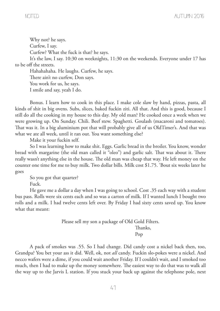Why not? he says. Curfew, I say. Curfew? What the fuck is that? he says. It's the law, I say. 10:30 on weeknights, 11:30 on the weekends. Everyone under 17 has to be off the streets. Hahahahaha. He laughs. Curfew, he says. There ain't no curfew, Don says. You work for us, he says.

I smile and say, yeah I do.

Bonus. I learn how to cook in this place. I make cole slaw by hand, pizzas, pasta, all kinds of shit in big ovens. Subs, slices, baked fuckin ziti. All that. And this is good, because I still do all the cooking in my house to this day. My old man? He cooked once a week when we were growing up. On Sunday. Chili. Beef stew. Spaghetti. Goulash (macaroni and tomatoes). That was it. In a big aluminium pot that will probably give all of us OldTimer's. And that was what we ate all week, until it ran out. You want something else?

Make it your fuckin self.

So I was learning how to make shit. Eggs. Garlic bread in the broiler. You know, wonder bread with margarine (the old man called it "oleo") and garlic salt. That was about it. There really wasn't anything else in the house. The old man was cheap that way. He left money on the counter one time for me to buy milk. Two dollar bills. Milk cost \$1.75. 'Bout six weeks later he goes

So you got that quarter?

Fuck.

He gave me a dollar a day when I was going to school. Cost .35 each way with a student bus pass. Rolls were six cents each and so was a carton of milk. If I wanted lunch I bought two rolls and a milk. I had twelve cents left over. By Friday I had sixty cents saved up. You know what that meant:

## Please sell my son a package of Old Gold Filters. Thanks, Pop

A pack of smokes was .55. So I had change. Did candy cost a nickel back then, too, Grandpa? You bet your ass it did. Well, ok, not *all* candy. Fuckin slo-pokes were a nickel. And necco wafers were a dime, if you could wait another Friday. If I couldn't wait, and I smoked too much, then I had to make up the money somewhere. The easiest way to do that was to walk all the way up to the Jarvis L station. If you stuck your back up against the telephone pole, next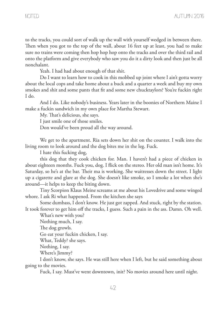to the tracks, you could sort of walk up the wall with yourself wedged in between there. Then when you got to the top of the wall, about 16 feet up at least, you had to make sure no trains were coming then hop hop hop onto the tracks and over the third rail and onto the platform and give everybody who saw you do it a dirty look and then just be all nonchalant.

Yeah. I had had about enough of that shit.

Do I want to learn how to cook in this mobbed up joint where I ain't gotta worry about the local cops and take home about a buck and a quarter a week and buy my own smokes and shit and some pants that fit and some new chucktaylors? You're fuckin right I do.

And I do. Like nobody's business. Years later in the boonies of Northern Maine I make a fuckin sandwich in my own place for Martha Stewart.

My. That's delicious, she says.

I just smile one of those smiles.

Don would've been proud all the way around.

We get to the apartment. Ria sets down her shit on the counter. I walk into the living room to look around and the dog bites me in the leg. Fuck.

I hate this fucking dog,

this dog that they cook chicken for. Man. I haven't had a piece of chicken in about eighteen months. Fuck you, dog. I flick on the stereo. Her old man isn't home. It's Saturday, so he's at the bar. Their ma is working. She waitresses down the street. I light up a cigarette and glare at the dog. She doesn't like smoke, so I smoke a lot when she's around––it helps to keep the biting down.

Tiny Scorpion Klaus Meine screams at me about his Lovedrive and some winged whore. I ask Ri what happened. From the kitchen she says

Some dumbass, I don't know. He just got zapped. And stuck, right by the station. It took forever to get him off the tracks, I guess. Such a pain in the ass. Damn. Oh well.

What's new with you?

Nothing much, I say.

The dog growls.

Go eat your fuckin chicken, I say.

What, Teddy? she says.

Nothing, I say.

Where's Jimmy?

I don't know, she says. He was still here when I left, but he said something about going to the movies.

Fuck, I say. Must've went downtown, init? No movies around here until night.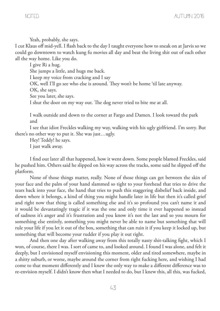Yeah, probably, she says.

I cut Klaus off mid-yell. I flash back to the day I taught everyone how to sneak on at Jarvis so we could go downtown to watch kung fu movies all day and beat the living shit out of each other all the way home. Like you do.

I give Ri a hug. She jumps a little, and hugs me back. I keep my voice from cracking and I say OK, well I'll go see who else is around. They won't be home 'til late anyway. OK, she says. See you later, she says. I shut the door on my way out. The dog never tried to bite me at all.

I walk outside and down to the corner at Fargo and Damen. I look toward the park and

I see that idiot Freckles walking my way, walking with his ugly girlfriend. I'm sorry. But there's no other way to put it. She was just…ugly.

Hey! Teddy! he says.

I just walk away.

I find out later all that happened, how it went down. Some people blamed Freckles, said he pushed him. Others said he slipped on his way across the tracks, some said he slipped off the platform.

None of those things matter, really. None of those things can get between the skin of your face and the palm of your hand slammed so tight to your forehead that tries to drive the tears back into your face, the hand that tries to push this staggering disbelief back inside, and down where it belongs, a kind of thing you might handle later in life but then it's called grief and right now that thing is called something else and it's so profound you can't name it and it would be devastatingly tragic if it was the one and only time it ever happened so instead of sadness it's anger and it's frustration and you know it's not the last and so you mourn for something else entirely, something you might never be able to name but something that will rule your life if you let it out of the box, something that can ruin it if you keep it locked up, but something that will become your rudder if you play it out right.

And then one day after walking away from this totally nasty shit-talking fight, which I won, of course, there I was. I sort of came to, and looked around. I found I was alone, and felt it deeply, but I envisioned myself envisioning this moment, older and tired somewhere, maybe in a shitty suburb, or worse, maybe around the corner from right fucking here, and wishing I had come to that moment differently and I knew the only way to make a different difference was to re-envision myself. I didn't know then what I needed to do, but I knew this, all this, was fucked,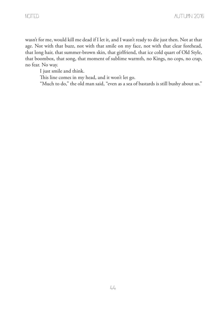wasn't for me, would kill me dead if I let it, and I wasn't ready to die just then. Not at that age. Not with that buzz, not with that smile on my face, not with that clear forehead, that long hair, that summer-brown skin, that girlfriend, that ice cold quart of Old Style, that boombox, that song, that moment of sublime warmth, no Kings, no cops, no crap, no fear. No way.

I just smile and think.

This line comes in my head, and it won't let go.

"Much to do," the old man said, "even as a sea of bastards is still bushy about us."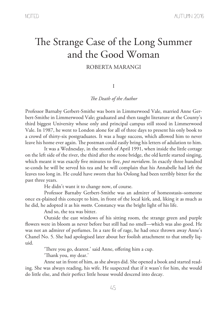# The Strange Case of the Long Summer and the Good Woman

## ROBERTA MARANGI

#### I

#### *The Death of the Author*

Professor Barnaby Gerbert-Smithe was born in Limmerwood Vale, married Anne Gerbert-Smithe in Limmerwood Vale; graduated and then taught literature at the County's third biggest University whose only and principal campus still stood in Limmerwood Vale. In 1987, he went to London alone for all of three days to present his only book to a crowd of thirty-six postgraduates. It was a huge success, which allowed him to never leave his home ever again. The postman could easily bring his letters of adulation to him.

It was a Wednesday, in the month of April 1991, when inside the little cottage on the left side of the river, the third after the stone bridge, the old kettle started singing, which meant it was exactly five minutes to five, *post meridiem*. In exactly three hundred se-conds he will be served his tea and he will complain that his Annabelle had left the leaves too long in. He could have sworn that his Oolong had been terribly bitter for the past three years.

He didn't want it to change now, of course.

Professor Barnaby Gerbert-Smithe was an admirer of homeostasis–someone once ex-plained this concept to him, in front of the local kirk, and, liking it as much as he did, he adopted it as his *motto*. Constancy was the bright light of his life.

And so, the tea was bitter.

Outside the east windows of his sitting room, the strange green and purple flowers were in bloom as never before but still had no smell––which was also good. He was not an admirer of perfumes. In a rare fit of rage, he had once thrown away Anne's Chanel No. 5. She had apologised later about her foolish attachment to that smelly liquid.

'There you go, dearest.' said Anne, offering him a cup.

'Thank you, my dear.'

Anne sat in front of him, as she always did. She opened a book and started reading. She was always reading, his wife. He suspected that if it wasn't for him, she would do little else, and their perfect little house would descend into decay.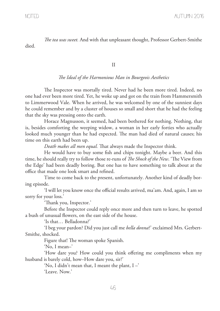*The tea was sweet.* And with that unpleasant thought, Professor Gerbert-Smithe died.

II

#### *The Ideal of the Harmonious Man in Bourgeois Aesthetics*

The Inspector was mortally tired. Never had he been more tired. Indeed, no one had ever been more tired. Yet, he woke up and got on the train from Hammersmith to Limmerwood Vale. When he arrived, he was welcomed by one of the sunniest days he could remember and by a cluster of houses so small and short that he had the feeling that the sky was pressing onto the earth.

Horace Magnusson, it seemed, had been bothered for nothing. Nothing, that is, besides comforting the weeping widow, a woman in her early forties who actually looked much younger than he had expected. The man had died of natural causes; his time on this earth had been up.

*Death makes all men equal.* That always made the Inspector think.

He would have to buy some fish and chips tonight. Maybe a beer. And this time, he should really try to follow those re-runs of *The Shock of the New*. 'The View from the Edge' had been deadly boring. But one has to have something to talk about at the office that made one look smart and refined.

Time to come back to the present, unfortunately. Another kind of deadly boring episode.

'I will let you know once the official results arrived, ma'am. And, again, I am so sorry for your loss.'

'Thank you, Inspector.'

Before the Inspector could reply once more and then turn to leave, he spotted a bush of unusual flowers, on the east side of the house.

'Is that… Belladonna?'

'I beg your pardon? Did you just call me *bella donna*?' exclaimed Mrs. Gerbert-Smithe, shocked.

Figure that! The woman spoke Spanish.

'No, I mean–'

'How dare you? How could you think offering me compliments when my husband is barely cold, how–How dare you, sir?'

> 'No, I didn't mean that, I meant the plant, I –' 'Leave. Now.'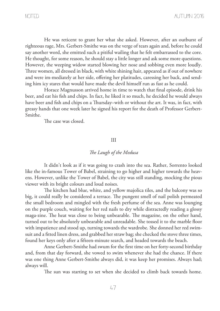He was reticent to grant her what she asked. However, after an outburst of righteous rage, Mrs. Gerbert-Smithe was on the verge of tears again and, before he could say another word, she emitted such a pitiful wailing that he felt embarrassed to the core. He thought, for some reason, he should stay a little longer and ask some more questions. However, the weeping widow started blowing her nose and sobbing even more loudly. Three women, all dressed in black, with white shining hair, appeared as if out of nowhere and were im-mediately at her side, offering her platitudes, caressing her back, and sending him icy stares that would have made the devil himself run as fast as he could.

Horace Magnusson arrived home in time to watch that final episode, drink his beer, and eat his fish and chips. In fact, he liked it so much, he decided he would always have beer and fish and chips on a Thursday–with or without the art. It was, in fact, with greasy hands that one week later he signed his report for the death of Professor Gerbert-Smithe.

The case was closed.

#### III

## *The Laugh of the Medusa*

It didn't look as if it was going to crash into the sea. Rather, Sorrento looked like the in-famous Tower of Babel, straining to go higher and higher towards the heavens. However, unlike the Tower of Babel, the city was still standing, mocking the pious viewer with its bright colours and loud noises.

The kitchen had blue, white, and yellow majolica tiles, and the balcony was so big, it could really be considered a terrace. The pungent smell of nail polish permeated the small bedroom and mingled with the fresh perfume of the sea. Anne was lounging on the purple couch, waiting for her red nails to dry while distractedly reading a glossy maga-zine. The heat was close to being unbearable. The magazine, on the other hand, turned out to be absolutely unbearable and unreadable. She tossed it to the marble floor with impatience and stood up, turning towards the wardrobe. She donned her red swimsuit and a fitted linen dress, and grabbed her straw bag; she checked the stove three times, found her keys only after a fifteen-minute search, and headed towards the beach.

Anne Gerbert-Smithe had swum for the first time on her forty-second birthday and, from that day forward, she vowed to swim whenever she had the chance. If there was one thing Anne Gerbert-Smithe always did, it was keep her promises. Always had; always will.

The sun was starting to set when she decided to climb back towards home.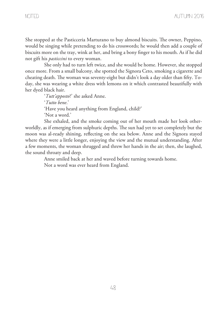She stopped at the Pasticceria Marturano to buy almond biscuits. The owner, Peppino, would be singing while pretending to do his crosswords; he would then add a couple of biscuits more on the tray, wink at her, and bring a bony finger to his mouth. As if he did not gift his *pasticcini* to every woman.

She only had to turn left twice, and she would be home. However, she stopped once more. From a small balcony, she spotted the Signora Ceto, smoking a cigarette and cheating death. The woman was seventy-eight but didn't look a day older than fifty. Today, she was wearing a white dress with lemons on it which contrasted beautifully with her dyed black hair.

> '*Tutt'apposto*?' she asked Anne. '*Tutto bene*.' 'Have you heard anything from England, child?' 'Not a word.'

She exhaled, and the smoke coming out of her mouth made her look otherworldly, as if emerging from sulphuric depths. The sun had yet to set completely but the moon was al-ready shining, reflecting on the sea below. Anne and the Signora stayed where they were a little longer, enjoying the view and the mutual understanding. After a few moments, the woman shrugged and threw her hands in the air; then, she laughed, the sound throaty and deep.

> Anne smiled back at her and waved before turning towards home. Not a word was ever heard from England.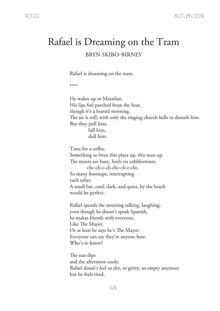# Rafael is Dreaming on the Tram BRYN SKIBO-BIRNEY

Rafael is dreaming on the tram.

\*\*\*\*

He wakes up in Mazatlan. His lips feel parched from the heat, though it's a humid morning. The air is still, with only the ringing church bells to disturb him. But they pull him, lull him, dull him.

Time for a coffee.

Something to liven this place up, this man up. The streets are busy, heels on cobblestones, clic-cli-c-cli-clic-cli-c-clic. So many footsteps, interrupting each other. A small bar, cool, dark, and quiet, by the beach would be perfect.

Rafael spends the morning talking, laughing; even though he doesn't speak Spanish, he makes friends with everyone. Like The Mayor. Or at least he says he's The Mayor. Everyone can say they're anyone here. Who's to know?

The sun dips and the afternoon cools; Rafael doesn't feel so dry, so gritty, so empty anymore but he feels tired.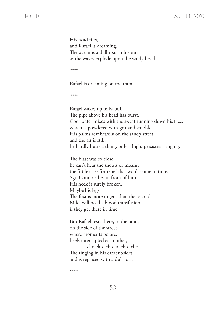His head tilts, and Rafael is dreaming. The ocean is a dull roar in his ears as the waves explode upon the sandy beach.

\*\*\*\*

Rafael is dreaming on the tram.

\*\*\*\*

Rafael wakes up in Kabul. The pipe above his head has burst. Cool water mixes with the sweat running down his face, which is powdered with grit and stubble. His palms rest heavily on the sandy street, and the air is still, he hardly hears a thing, only a high, persistent ringing.

The blast was so close, he can't hear the shouts or moans; the futile cries for relief that won't come in time. Sgt. Connors lies in front of him. His neck is surely broken. Maybe his legs. The first is more urgent than the second. Mike will need a blood transfusion, if they get there in time.

But Rafael rests there, in the sand, on the side of the street, where moments before, heels interrupted each other, clic-cli-c-cli-clic-cli-c-clic. The ringing in his ears subsides, and is replaced with a dull roar.

\*\*\*\*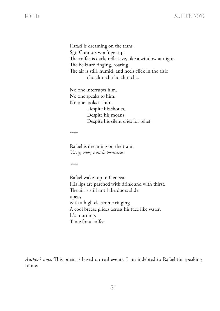Rafael is dreaming on the tram. Sgt. Connors won't get up. The coffee is dark, reflective, like a window at night. The bells are ringing, roaring. The air is still, humid, and heels click in the aisle clic-cli-c-cli-clic-cli-c-clic.

No one interrupts him. No one speaks to him. No one looks at him. Despite his shouts, Despite his moans, Despite his silent cries for relief.

\*\*\*\*

Rafael is dreaming on the tram. *Vas-y, mec, c'est le terminus.*

\*\*\*\*

Rafael wakes up in Geneva. His lips are parched with drink and with thirst. The air is still until the doors slide open, with a high electronic ringing. A cool breeze glides across his face like water. It's morning. Time for a coffee.

*Author's note*: This poem is based on real events. I am indebted to Rafael for speaking to me.